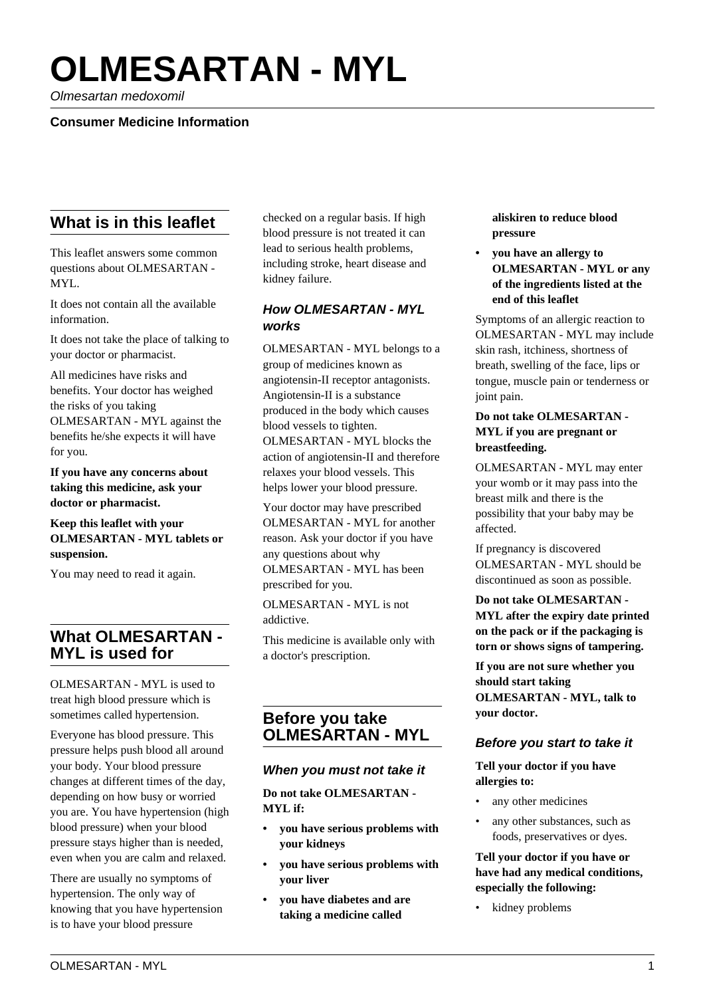# **OLMESARTAN - MYL**

Olmesartan medoxomil

## **Consumer Medicine Information**

# **What is in this leaflet**

This leaflet answers some common questions about OLMESARTAN - MYL.

It does not contain all the available information.

It does not take the place of talking to your doctor or pharmacist.

All medicines have risks and benefits. Your doctor has weighed the risks of you taking OLMESARTAN - MYL against the benefits he/she expects it will have for you.

**If you have any concerns about taking this medicine, ask your doctor or pharmacist.**

#### **Keep this leaflet with your OLMESARTAN - MYL tablets or suspension.**

You may need to read it again.

# **What OLMESARTAN - MYL is used for**

OLMESARTAN - MYL is used to treat high blood pressure which is sometimes called hypertension.

Everyone has blood pressure. This pressure helps push blood all around your body. Your blood pressure changes at different times of the day, depending on how busy or worried you are. You have hypertension (high blood pressure) when your blood pressure stays higher than is needed, even when you are calm and relaxed.

There are usually no symptoms of hypertension. The only way of knowing that you have hypertension is to have your blood pressure

checked on a regular basis. If high blood pressure is not treated it can lead to serious health problems, including stroke, heart disease and kidney failure.

## **How OLMESARTAN - MYL works**

OLMESARTAN - MYL belongs to a group of medicines known as angiotensin-II receptor antagonists. Angiotensin-II is a substance produced in the body which causes blood vessels to tighten. OLMESARTAN - MYL blocks the action of angiotensin-II and therefore relaxes your blood vessels. This helps lower your blood pressure.

Your doctor may have prescribed OLMESARTAN - MYL for another reason. Ask your doctor if you have any questions about why OLMESARTAN - MYL has been prescribed for you.

OLMESARTAN - MYL is not addictive.

This medicine is available only with a doctor's prescription.

# **Before you take OLMESARTAN - MYL**

#### **When you must not take it**

**Do not take OLMESARTAN - MYL if:**

- **you have serious problems with your kidneys**
- **you have serious problems with your liver**
- **you have diabetes and are taking a medicine called**

**aliskiren to reduce blood pressure**

**• you have an allergy to OLMESARTAN - MYL or any of the ingredients listed at the end of this leaflet**

Symptoms of an allergic reaction to OLMESARTAN - MYL may include skin rash, itchiness, shortness of breath, swelling of the face, lips or tongue, muscle pain or tenderness or joint pain.

#### **Do not take OLMESARTAN - MYL if you are pregnant or breastfeeding.**

OLMESARTAN - MYL may enter your womb or it may pass into the breast milk and there is the possibility that your baby may be affected.

If pregnancy is discovered OLMESARTAN - MYL should be discontinued as soon as possible.

**Do not take OLMESARTAN - MYL after the expiry date printed on the pack or if the packaging is torn or shows signs of tampering.**

**If you are not sure whether you should start taking OLMESARTAN - MYL, talk to your doctor.**

## **Before you start to take it**

**Tell your doctor if you have allergies to:**

- any other medicines
- any other substances, such as foods, preservatives or dyes.

**Tell your doctor if you have or have had any medical conditions, especially the following:**

kidney problems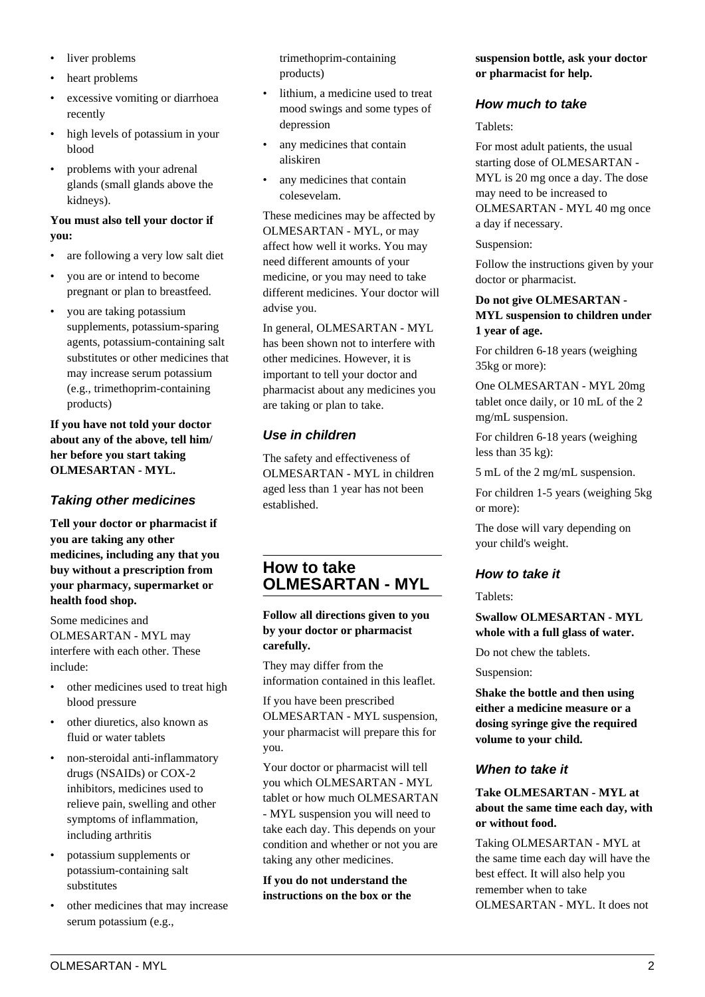- liver problems
- heart problems
- excessive vomiting or diarrhoea recently
- high levels of potassium in your blood
- problems with your adrenal glands (small glands above the kidneys).

#### **You must also tell your doctor if you:**

- are following a very low salt diet
- you are or intend to become pregnant or plan to breastfeed.
- you are taking potassium supplements, potassium-sparing agents, potassium-containing salt substitutes or other medicines that may increase serum potassium (e.g., trimethoprim-containing products)

**If you have not told your doctor about any of the above, tell him/ her before you start taking OLMESARTAN - MYL.**

# **Taking other medicines**

**Tell your doctor or pharmacist if you are taking any other medicines, including any that you buy without a prescription from your pharmacy, supermarket or health food shop.**

Some medicines and OLMESARTAN - MYL may interfere with each other. These include:

- other medicines used to treat high blood pressure
- other diuretics, also known as fluid or water tablets
- non-steroidal anti-inflammatory drugs (NSAIDs) or COX-2 inhibitors, medicines used to relieve pain, swelling and other symptoms of inflammation, including arthritis
- potassium supplements or potassium-containing salt substitutes
- other medicines that may increase serum potassium (e.g.,

trimethoprim-containing products)

- lithium, a medicine used to treat mood swings and some types of depression
- any medicines that contain aliskiren
- any medicines that contain colesevelam.

These medicines may be affected by OLMESARTAN - MYL, or may affect how well it works. You may need different amounts of your medicine, or you may need to take different medicines. Your doctor will advise you.

In general, OLMESARTAN - MYL has been shown not to interfere with other medicines. However, it is important to tell your doctor and pharmacist about any medicines you are taking or plan to take.

# **Use in children**

The safety and effectiveness of OLMESARTAN - MYL in children aged less than 1 year has not been established.

# **How to take OLMESARTAN - MYL**

**Follow all directions given to you by your doctor or pharmacist carefully.**

They may differ from the information contained in this leaflet.

If you have been prescribed OLMESARTAN - MYL suspension, your pharmacist will prepare this for you.

Your doctor or pharmacist will tell you which OLMESARTAN - MYL tablet or how much OLMESARTAN - MYL suspension you will need to take each day. This depends on your condition and whether or not you are taking any other medicines.

**If you do not understand the instructions on the box or the** **suspension bottle, ask your doctor or pharmacist for help.**

## **How much to take**

Tablets:

For most adult patients, the usual starting dose of OLMESARTAN - MYL is 20 mg once a day. The dose may need to be increased to OLMESARTAN - MYL 40 mg once a day if necessary.

Suspension:

Follow the instructions given by your doctor or pharmacist.

#### **Do not give OLMESARTAN - MYL suspension to children under 1 year of age.**

For children 6-18 years (weighing 35kg or more):

One OLMESARTAN - MYL 20mg tablet once daily, or 10 mL of the 2 mg/mL suspension.

For children 6-18 years (weighing less than 35 kg):

5 mL of the 2 mg/mL suspension.

For children 1-5 years (weighing 5kg or more):

The dose will vary depending on your child's weight.

# **How to take it**

Tablets:

**Swallow OLMESARTAN - MYL whole with a full glass of water.**

Do not chew the tablets.

Suspension:

**Shake the bottle and then using either a medicine measure or a dosing syringe give the required volume to your child.**

## **When to take it**

**Take OLMESARTAN - MYL at about the same time each day, with or without food.**

Taking OLMESARTAN - MYL at the same time each day will have the best effect. It will also help you remember when to take OLMESARTAN - MYL. It does not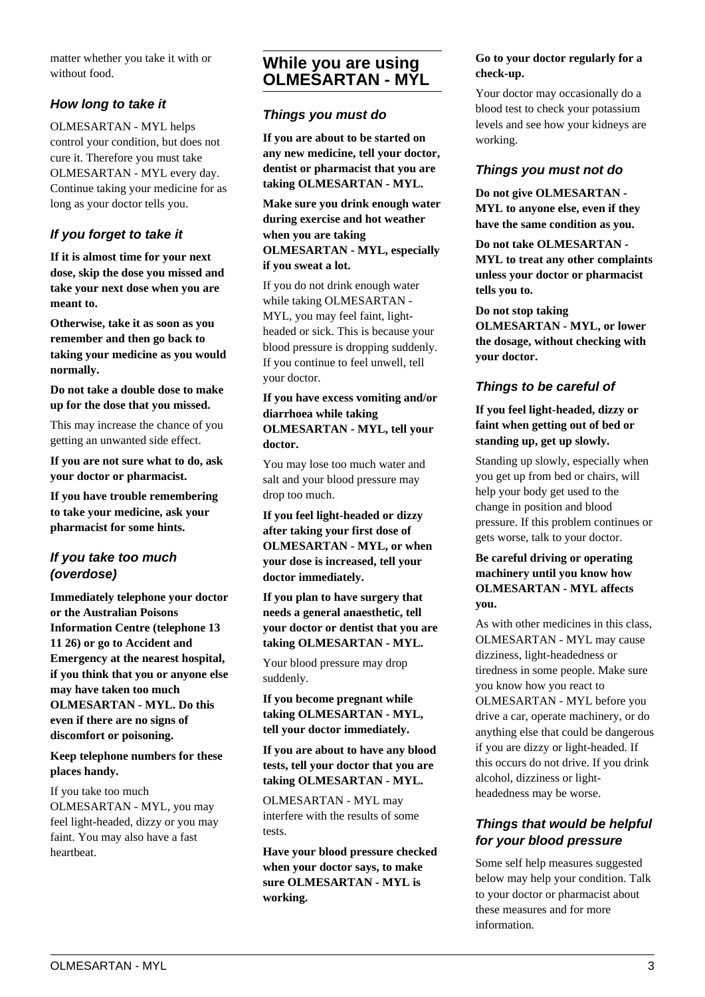matter whether you take it with or without food.

# **How long to take it**

OLMESARTAN - MYL helps control your condition, but does not cure it. Therefore you must take OLMESARTAN - MYL every day. Continue taking your medicine for as long as your doctor tells you.

# **If you forget to take it**

**If it is almost time for your next dose, skip the dose you missed and take your next dose when you are meant to.**

**Otherwise, take it as soon as you remember and then go back to taking your medicine as you would normally.**

**Do not take a double dose to make up for the dose that you missed.**

This may increase the chance of you getting an unwanted side effect.

**If you are not sure what to do, ask your doctor or pharmacist.**

**If you have trouble remembering to take your medicine, ask your pharmacist for some hints.**

## **If you take too much (overdose)**

**Immediately telephone your doctor or the Australian Poisons Information Centre (telephone 13 11 26) or go to Accident and Emergency at the nearest hospital, if you think that you or anyone else may have taken too much OLMESARTAN - MYL. Do this even if there are no signs of discomfort or poisoning.**

**Keep telephone numbers for these places handy.**

If you take too much OLMESARTAN - MYL, you may feel light-headed, dizzy or you may faint. You may also have a fast heartbeat.

# **While you are using OLMESARTAN - MYL**

#### **Things you must do**

**If you are about to be started on any new medicine, tell your doctor, dentist or pharmacist that you are taking OLMESARTAN - MYL.**

**Make sure you drink enough water during exercise and hot weather when you are taking OLMESARTAN - MYL, especially if you sweat a lot.**

If you do not drink enough water while taking OLMESARTAN -

MYL, you may feel faint, lightheaded or sick. This is because your blood pressure is dropping suddenly. If you continue to feel unwell, tell your doctor.

#### **If you have excess vomiting and/or diarrhoea while taking OLMESARTAN - MYL, tell your doctor.**

You may lose too much water and salt and your blood pressure may drop too much.

**If you feel light-headed or dizzy after taking your first dose of OLMESARTAN - MYL, or when your dose is increased, tell your doctor immediately.**

**If you plan to have surgery that needs a general anaesthetic, tell your doctor or dentist that you are taking OLMESARTAN - MYL.**

Your blood pressure may drop suddenly.

**If you become pregnant while taking OLMESARTAN - MYL, tell your doctor immediately.**

**If you are about to have any blood tests, tell your doctor that you are taking OLMESARTAN - MYL.**

OLMESARTAN - MYL may interfere with the results of some tests.

**Have your blood pressure checked when your doctor says, to make sure OLMESARTAN - MYL is working.**

#### **Go to your doctor regularly for a check-up.**

Your doctor may occasionally do a blood test to check your potassium levels and see how your kidneys are working.

## **Things you must not do**

**Do not give OLMESARTAN - MYL to anyone else, even if they have the same condition as you.**

**Do not take OLMESARTAN - MYL to treat any other complaints unless your doctor or pharmacist tells you to.**

**Do not stop taking**

**OLMESARTAN - MYL, or lower the dosage, without checking with your doctor.**

# **Things to be careful of**

**If you feel light-headed, dizzy or faint when getting out of bed or standing up, get up slowly.**

Standing up slowly, especially when you get up from bed or chairs, will help your body get used to the change in position and blood pressure. If this problem continues or gets worse, talk to your doctor.

#### **Be careful driving or operating machinery until you know how OLMESARTAN - MYL affects you.**

As with other medicines in this class, OLMESARTAN - MYL may cause dizziness, light-headedness or tiredness in some people. Make sure you know how you react to OLMESARTAN - MYL before you drive a car, operate machinery, or do anything else that could be dangerous if you are dizzy or light-headed. If this occurs do not drive. If you drink alcohol, dizziness or lightheadedness may be worse.

# **Things that would be helpful for your blood pressure**

Some self help measures suggested below may help your condition. Talk to your doctor or pharmacist about these measures and for more information.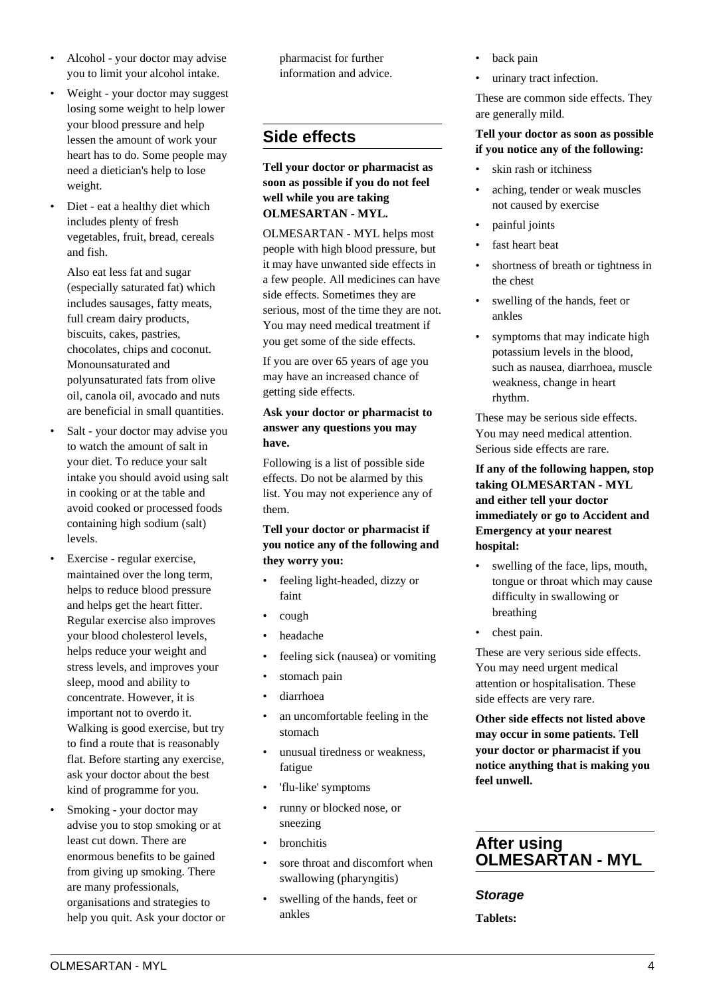- Alcohol your doctor may advise you to limit your alcohol intake.
- Weight your doctor may suggest losing some weight to help lower your blood pressure and help lessen the amount of work your heart has to do. Some people may need a dietician's help to lose weight.
- Diet eat a healthy diet which includes plenty of fresh vegetables, fruit, bread, cereals and fish.

 Also eat less fat and sugar (especially saturated fat) which includes sausages, fatty meats, full cream dairy products, biscuits, cakes, pastries, chocolates, chips and coconut. Monounsaturated and polyunsaturated fats from olive oil, canola oil, avocado and nuts are beneficial in small quantities.

- Salt your doctor may advise you to watch the amount of salt in your diet. To reduce your salt intake you should avoid using salt in cooking or at the table and avoid cooked or processed foods containing high sodium (salt) levels.
- Exercise regular exercise, maintained over the long term, helps to reduce blood pressure and helps get the heart fitter. Regular exercise also improves your blood cholesterol levels, helps reduce your weight and stress levels, and improves your sleep, mood and ability to concentrate. However, it is important not to overdo it. Walking is good exercise, but try to find a route that is reasonably flat. Before starting any exercise, ask your doctor about the best kind of programme for you.
- Smoking your doctor may advise you to stop smoking or at least cut down. There are enormous benefits to be gained from giving up smoking. There are many professionals, organisations and strategies to help you quit. Ask your doctor or

pharmacist for further information and advice.

# **Side effects**

**Tell your doctor or pharmacist as soon as possible if you do not feel well while you are taking OLMESARTAN - MYL.**

OLMESARTAN - MYL helps most people with high blood pressure, but it may have unwanted side effects in a few people. All medicines can have side effects. Sometimes they are serious, most of the time they are not. You may need medical treatment if you get some of the side effects.

If you are over 65 years of age you may have an increased chance of getting side effects.

#### **Ask your doctor or pharmacist to answer any questions you may have.**

Following is a list of possible side effects. Do not be alarmed by this list. You may not experience any of them.

#### **Tell your doctor or pharmacist if you notice any of the following and they worry you:**

- feeling light-headed, dizzy or faint
- cough
- headache
- feeling sick (nausea) or vomiting
- stomach pain
- diarrhoea
- an uncomfortable feeling in the stomach
- unusual tiredness or weakness. fatigue
- 'flu-like' symptoms
- runny or blocked nose, or sneezing
- bronchitis
- sore throat and discomfort when swallowing (pharyngitis)
- swelling of the hands, feet or ankles
- back pain
- urinary tract infection.

These are common side effects. They are generally mild.

#### **Tell your doctor as soon as possible if you notice any of the following:**

- skin rash or itchiness
- aching, tender or weak muscles not caused by exercise
- painful joints
- fast heart beat
- shortness of breath or tightness in the chest
- swelling of the hands, feet or ankles
- symptoms that may indicate high potassium levels in the blood, such as nausea, diarrhoea, muscle weakness, change in heart rhythm.

These may be serious side effects. You may need medical attention. Serious side effects are rare.

#### **If any of the following happen, stop taking OLMESARTAN - MYL and either tell your doctor immediately or go to Accident and Emergency at your nearest hospital:**

- swelling of the face, lips, mouth, tongue or throat which may cause difficulty in swallowing or breathing
- chest pain.

These are very serious side effects. You may need urgent medical attention or hospitalisation. These side effects are very rare.

**Other side effects not listed above may occur in some patients. Tell your doctor or pharmacist if you notice anything that is making you feel unwell.**

# **After using OLMESARTAN - MYL**

## **Storage**

**Tablets:**